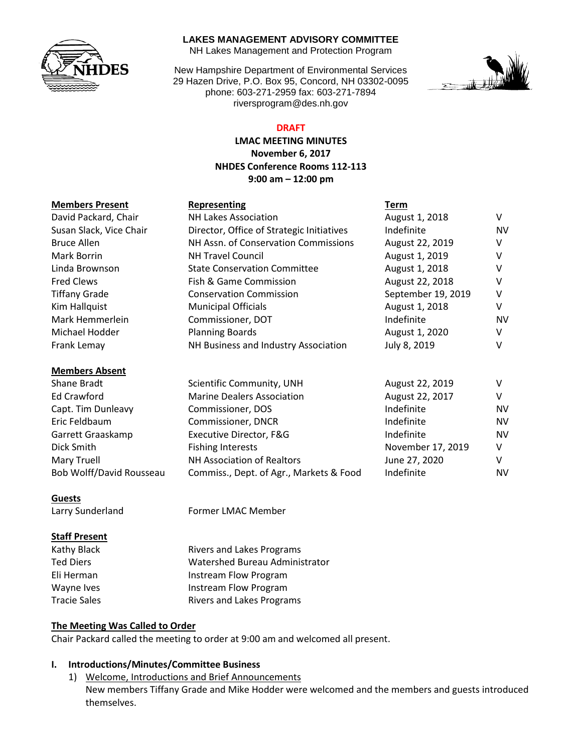

### **LAKES MANAGEMENT ADVISORY COMMITTEE**

NH Lakes Management and Protection Program

New Hampshire Department of Environmental Services 29 Hazen Drive, P.O. Box 95, Concord, NH 03302-0095 phone: 603-271-2959 fax: 603-271-7894 riversprogram@des.nh.gov



# **DRAFT**

**LMAC MEETING MINUTES November 6, 2017 NHDES Conference Rooms 112-113 9:00 am – 12:00 pm**

| <b>Members Present</b> | <b>Representing</b> | Term |
|------------------------|---------------------|------|
|                        |                     |      |

|  | Representing |  |
|--|--------------|--|
|  |              |  |

| <b>NH Lakes Association</b>                                          | August 1, 2018  | V                                                   |
|----------------------------------------------------------------------|-----------------|-----------------------------------------------------|
| Susan Slack, Vice Chair<br>Director, Office of Strategic Initiatives |                 | <b>NV</b>                                           |
| NH Assn. of Conservation Commissions<br><b>Bruce Allen</b>           |                 | v                                                   |
| <b>NH Travel Council</b>                                             | August 1, 2019  | v                                                   |
| <b>State Conservation Committee</b>                                  | August 1, 2018  | v                                                   |
| Fish & Game Commission                                               | August 22, 2018 | v                                                   |
| Tiffany Grade<br><b>Conservation Commission</b>                      |                 | v                                                   |
| <b>Municipal Officials</b>                                           | August 1, 2018  | v                                                   |
| Commissioner, DOT                                                    | Indefinite      | NV                                                  |
| <b>Planning Boards</b>                                               | August 1, 2020  | V                                                   |
| Frank Lemay<br>NH Business and Industry Association<br>July 8, 2019  |                 | v                                                   |
|                                                                      |                 |                                                     |
| Scientific Community, UNH                                            | August 22, 2019 | V                                                   |
| <b>Marine Dealers Association</b>                                    | August 22, 2017 | V                                                   |
| Commissioner, DOS                                                    | Indefinite      | NV                                                  |
| Commissioner, DNCR                                                   | Indefinite      | NV                                                  |
|                                                                      |                 | Indefinite<br>August 22, 2019<br>September 19, 2019 |

Garrett Graaskamp Executive Director, F&G Fundefinite Controller and the NV Dick Smith **Fishing Interests** November 17, 2019 V Mary Truell **NH Association of Realtors** June 27, 2020 Bob Wolff/David Rousseau Commiss., Dept. of Agr., Markets & Food Indefinite NV

### **Guests**

# **Staff Present**

Larry Sunderland Former LMAC Member

Kathy Black Rivers and Lakes Programs Ted Diers Watershed Bureau Administrator Eli Herman **Instream Flow Program** Wayne Ives **Instream Flow Program** Tracie Sales **Rivers and Lakes Programs** 

# **The Meeting Was Called to Order**

Chair Packard called the meeting to order at 9:00 am and welcomed all present.

## **I. Introductions/Minutes/Committee Business**

1) Welcome, Introductions and Brief Announcements New members Tiffany Grade and Mike Hodder were welcomed and the members and guests introduced themselves.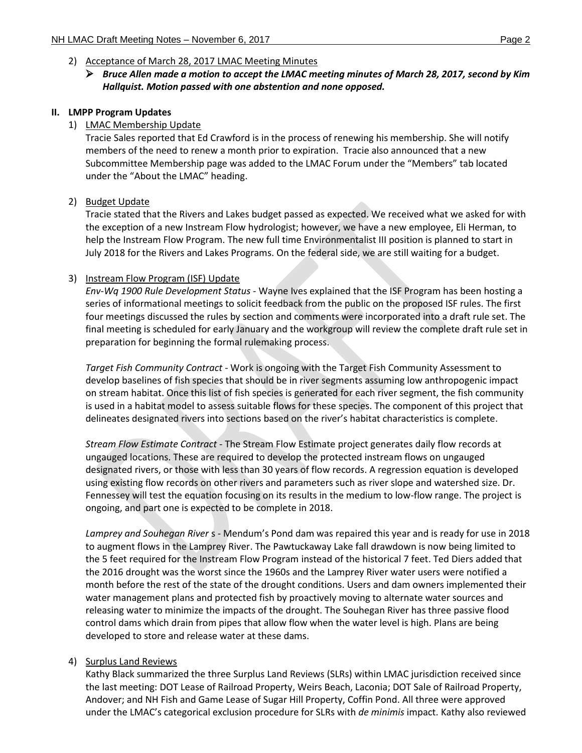- 2) Acceptance of March 28, 2017 LMAC Meeting Minutes
	- *Bruce Allen made a motion to accept the LMAC meeting minutes of March 28, 2017, second by Kim Hallquist. Motion passed with one abstention and none opposed.*

#### **II. LMPP Program Updates**

### 1) LMAC Membership Update

Tracie Sales reported that Ed Crawford is in the process of renewing his membership. She will notify members of the need to renew a month prior to expiration. Tracie also announced that a new Subcommittee Membership page was added to the LMAC Forum under the "Members" tab located under the "About the LMAC" heading.

### 2) Budget Update

Tracie stated that the Rivers and Lakes budget passed as expected. We received what we asked for with the exception of a new Instream Flow hydrologist; however, we have a new employee, Eli Herman, to help the Instream Flow Program. The new full time Environmentalist III position is planned to start in July 2018 for the Rivers and Lakes Programs. On the federal side, we are still waiting for a budget.

#### 3) Instream Flow Program (ISF) Update

*Env-Wq 1900 Rule Development Status* - Wayne Ives explained that the ISF Program has been hosting a series of informational meetings to solicit feedback from the public on the proposed ISF rules. The first four meetings discussed the rules by section and comments were incorporated into a draft rule set. The final meeting is scheduled for early January and the workgroup will review the complete draft rule set in preparation for beginning the formal rulemaking process.

*Target Fish Community Contract* - Work is ongoing with the Target Fish Community Assessment to develop baselines of fish species that should be in river segments assuming low anthropogenic impact on stream habitat. Once this list of fish species is generated for each river segment, the fish community is used in a habitat model to assess suitable flows for these species. The component of this project that delineates designated rivers into sections based on the river's habitat characteristics is complete.

*Stream Flow Estimate Contract* - The Stream Flow Estimate project generates daily flow records at ungauged locations. These are required to develop the protected instream flows on ungauged designated rivers, or those with less than 30 years of flow records. A regression equation is developed using existing flow records on other rivers and parameters such as river slope and watershed size. Dr. Fennessey will test the equation focusing on its results in the medium to low-flow range. The project is ongoing, and part one is expected to be complete in 2018.

*Lamprey and Souhegan River* s - Mendum's Pond dam was repaired this year and is ready for use in 2018 to augment flows in the Lamprey River. The Pawtuckaway Lake fall drawdown is now being limited to the 5 feet required for the Instream Flow Program instead of the historical 7 feet. Ted Diers added that the 2016 drought was the worst since the 1960s and the Lamprey River water users were notified a month before the rest of the state of the drought conditions. Users and dam owners implemented their water management plans and protected fish by proactively moving to alternate water sources and releasing water to minimize the impacts of the drought. The Souhegan River has three passive flood control dams which drain from pipes that allow flow when the water level is high. Plans are being developed to store and release water at these dams.

### 4) Surplus Land Reviews

Kathy Black summarized the three Surplus Land Reviews (SLRs) within LMAC jurisdiction received since the last meeting: DOT Lease of Railroad Property, Weirs Beach, Laconia; DOT Sale of Railroad Property, Andover; and NH Fish and Game Lease of Sugar Hill Property, Coffin Pond. All three were approved under the LMAC's categorical exclusion procedure for SLRs with *de minimis* impact. Kathy also reviewed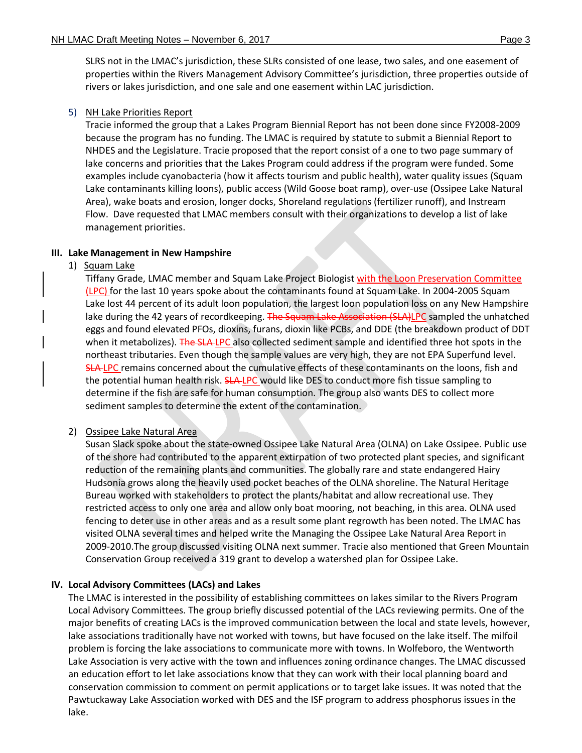SLRS not in the LMAC's jurisdiction, these SLRs consisted of one lease, two sales, and one easement of properties within the Rivers Management Advisory Committee's jurisdiction, three properties outside of rivers or lakes jurisdiction, and one sale and one easement within LAC jurisdiction.

### 5) NH Lake Priorities Report

Tracie informed the group that a Lakes Program Biennial Report has not been done since FY2008-2009 because the program has no funding. The LMAC is required by statute to submit a Biennial Report to NHDES and the Legislature. Tracie proposed that the report consist of a one to two page summary of lake concerns and priorities that the Lakes Program could address if the program were funded. Some examples include cyanobacteria (how it affects tourism and public health), water quality issues (Squam Lake contaminants killing loons), public access (Wild Goose boat ramp), over-use (Ossipee Lake Natural Area), wake boats and erosion, longer docks, Shoreland regulations (fertilizer runoff), and Instream Flow. Dave requested that LMAC members consult with their organizations to develop a list of lake management priorities.

## **III. Lake Management in New Hampshire**

1) Squam Lake

Tiffany Grade, LMAC member and Squam Lake Project Biologist with the Loon Preservation Committee (LPC) for the last 10 years spoke about the contaminants found at Squam Lake. In 2004-2005 Squam Lake lost 44 percent of its adult loon population, the largest loon population loss on any New Hampshire lake during the 42 years of recordkeeping. The Squam Lake Association (SLA)LPC sampled the unhatched eggs and found elevated PFOs, dioxins, furans, dioxin like PCBs, and DDE (the breakdown product of DDT when it metabolizes). The SLA-LPC also collected sediment sample and identified three hot spots in the northeast tributaries. Even though the sample values are very high, they are not EPA Superfund level. SLA-LPC remains concerned about the cumulative effects of these contaminants on the loons, fish and the potential human health risk. SLA-LPC would like DES to conduct more fish tissue sampling to determine if the fish are safe for human consumption. The group also wants DES to collect more sediment samples to determine the extent of the contamination.

### 2) Ossipee Lake Natural Area

Susan Slack spoke about the state-owned Ossipee Lake Natural Area (OLNA) on Lake Ossipee. Public use of the shore had contributed to the apparent extirpation of two protected plant species, and significant reduction of the remaining plants and communities. The globally rare and state endangered Hairy Hudsonia grows along the heavily used pocket beaches of the OLNA shoreline. The Natural Heritage Bureau worked with stakeholders to protect the plants/habitat and allow recreational use. They restricted access to only one area and allow only boat mooring, not beaching, in this area. OLNA used fencing to deter use in other areas and as a result some plant regrowth has been noted. The LMAC has visited OLNA several times and helped write the Managing the Ossipee Lake Natural Area Report in 2009-2010.The group discussed visiting OLNA next summer. Tracie also mentioned that Green Mountain Conservation Group received a 319 grant to develop a watershed plan for Ossipee Lake.

### **IV. Local Advisory Committees (LACs) and Lakes**

The LMAC is interested in the possibility of establishing committees on lakes similar to the Rivers Program Local Advisory Committees. The group briefly discussed potential of the LACs reviewing permits. One of the major benefits of creating LACs is the improved communication between the local and state levels, however, lake associations traditionally have not worked with towns, but have focused on the lake itself. The milfoil problem is forcing the lake associations to communicate more with towns. In Wolfeboro, the Wentworth Lake Association is very active with the town and influences zoning ordinance changes. The LMAC discussed an education effort to let lake associations know that they can work with their local planning board and conservation commission to comment on permit applications or to target lake issues. It was noted that the Pawtuckaway Lake Association worked with DES and the ISF program to address phosphorus issues in the lake.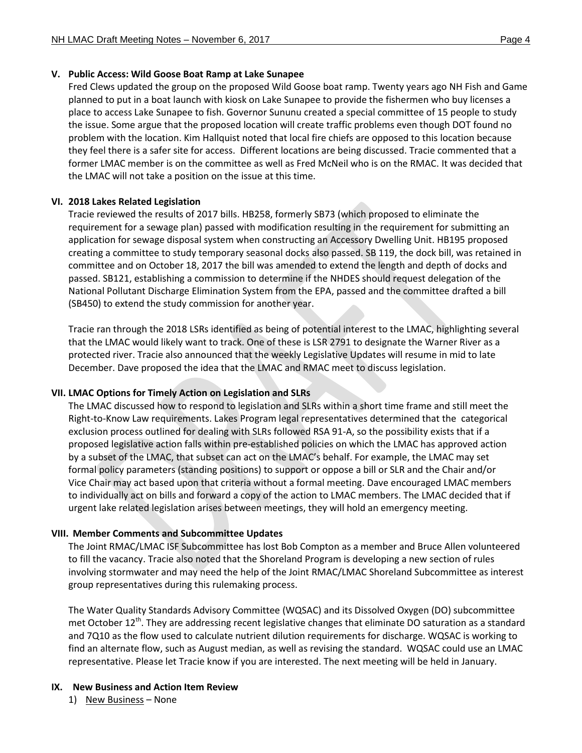# **V. Public Access: Wild Goose Boat Ramp at Lake Sunapee**

Fred Clews updated the group on the proposed Wild Goose boat ramp. Twenty years ago NH Fish and Game planned to put in a boat launch with kiosk on Lake Sunapee to provide the fishermen who buy licenses a place to access Lake Sunapee to fish. Governor Sununu created a special committee of 15 people to study the issue. Some argue that the proposed location will create traffic problems even though DOT found no problem with the location. Kim Hallquist noted that local fire chiefs are opposed to this location because they feel there is a safer site for access. Different locations are being discussed. Tracie commented that a former LMAC member is on the committee as well as Fred McNeil who is on the RMAC. It was decided that the LMAC will not take a position on the issue at this time.

# **VI. 2018 Lakes Related Legislation**

Tracie reviewed the results of 2017 bills. HB258, formerly SB73 (which proposed to eliminate the requirement for a sewage plan) passed with modification resulting in the requirement for submitting an application for sewage disposal system when constructing an Accessory Dwelling Unit. HB195 proposed creating a committee to study temporary seasonal docks also passed. SB 119, the dock bill, was retained in committee and on October 18, 2017 the bill was amended to extend the length and depth of docks and passed. SB121, establishing a commission to determine if the NHDES should request delegation of the National Pollutant Discharge Elimination System from the EPA, passed and the committee drafted a bill (SB450) to extend the study commission for another year.

Tracie ran through the 2018 LSRs identified as being of potential interest to the LMAC, highlighting several that the LMAC would likely want to track. One of these is LSR 2791 to designate the Warner River as a protected river. Tracie also announced that the weekly Legislative Updates will resume in mid to late December. Dave proposed the idea that the LMAC and RMAC meet to discuss legislation.

# **VII. LMAC Options for Timely Action on Legislation and SLRs**

The LMAC discussed how to respond to legislation and SLRs within a short time frame and still meet the Right-to-Know Law requirements. Lakes Program legal representatives determined that the categorical exclusion process outlined for dealing with SLRs followed RSA 91-A, so the possibility exists that if a proposed legislative action falls within pre-established policies on which the LMAC has approved action by a subset of the LMAC, that subset can act on the LMAC's behalf. For example, the LMAC may set formal policy parameters (standing positions) to support or oppose a bill or SLR and the Chair and/or Vice Chair may act based upon that criteria without a formal meeting. Dave encouraged LMAC members to individually act on bills and forward a copy of the action to LMAC members. The LMAC decided that if urgent lake related legislation arises between meetings, they will hold an emergency meeting.

# **VIII. Member Comments and Subcommittee Updates**

The Joint RMAC/LMAC ISF Subcommittee has lost Bob Compton as a member and Bruce Allen volunteered to fill the vacancy. Tracie also noted that the Shoreland Program is developing a new section of rules involving stormwater and may need the help of the Joint RMAC/LMAC Shoreland Subcommittee as interest group representatives during this rulemaking process.

The Water Quality Standards Advisory Committee (WQSAC) and its Dissolved Oxygen (DO) subcommittee met October 12<sup>th</sup>. They are addressing recent legislative changes that eliminate DO saturation as a standard and 7Q10 as the flow used to calculate nutrient dilution requirements for discharge. WQSAC is working to find an alternate flow, such as August median, as well as revising the standard. WQSAC could use an LMAC representative. Please let Tracie know if you are interested. The next meeting will be held in January.

# **IX. New Business and Action Item Review**

1) New Business – None